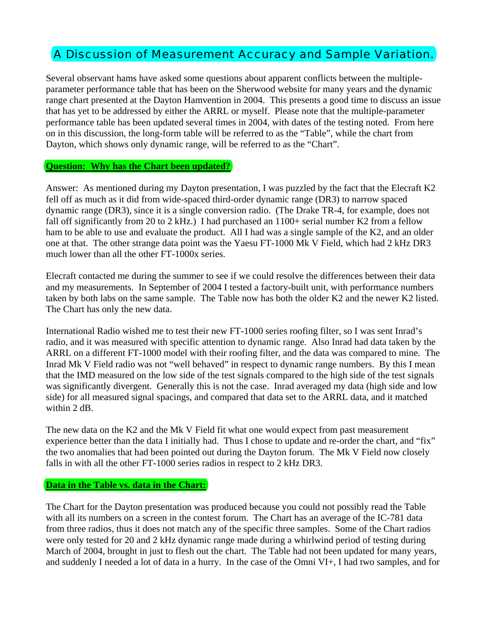# A Discussion of Measurement Accuracy and Sample Variation.

Several observant hams have asked some questions about apparent conflicts between the multipleparameter performance table that has been on the Sherwood website for many years and the dynamic range chart presented at the Dayton Hamvention in 2004. This presents a good time to discuss an issue that has yet to be addressed by either the ARRL or myself. Please note that the multiple-parameter performance table has been updated several times in 2004, with dates of the testing noted. From here on in this discussion, the long-form table will be referred to as the "Table", while the chart from Dayton, which shows only dynamic range, will be referred to as the "Chart".

## **Question: Why has the Chart been updated?**

Answer: As mentioned during my Dayton presentation, I was puzzled by the fact that the Elecraft K2 fell off as much as it did from wide-spaced third-order dynamic range (DR3) to narrow spaced dynamic range (DR3), since it is a single conversion radio. (The Drake TR-4, for example, does not fall off significantly from 20 to 2 kHz.) I had purchased an  $1100+$  serial number K2 from a fellow ham to be able to use and evaluate the product. All I had was a single sample of the K2, and an older one at that. The other strange data point was the Yaesu FT-1000 Mk V Field, which had 2 kHz DR3 much lower than all the other FT-1000x series.

Elecraft contacted me during the summer to see if we could resolve the differences between their data and my measurements. In September of 2004 I tested a factory-built unit, with performance numbers taken by both labs on the same sample. The Table now has both the older K2 and the newer K2 listed. The Chart has only the new data.

International Radio wished me to test their new FT-1000 series roofing filter, so I was sent Inrad's radio, and it was measured with specific attention to dynamic range. Also Inrad had data taken by the ARRL on a different FT-1000 model with their roofing filter, and the data was compared to mine. The Inrad Mk V Field radio was not "well behaved" in respect to dynamic range numbers. By this I mean that the IMD measured on the low side of the test signals compared to the high side of the test signals was significantly divergent. Generally this is not the case. Inrad averaged my data (high side and low side) for all measured signal spacings, and compared that data set to the ARRL data, and it matched within 2 dB.

The new data on the K2 and the Mk V Field fit what one would expect from past measurement experience better than the data I initially had. Thus I chose to update and re-order the chart, and "fix" the two anomalies that had been pointed out during the Dayton forum. The Mk V Field now closely falls in with all the other FT-1000 series radios in respect to 2 kHz DR3.

## **Data in the Table vs. data in the Chart:**

The Chart for the Dayton presentation was produced because you could not possibly read the Table with all its numbers on a screen in the contest forum. The Chart has an average of the IC-781 data from three radios, thus it does not match any of the specific three samples. Some of the Chart radios were only tested for 20 and 2 kHz dynamic range made during a whirlwind period of testing during March of 2004, brought in just to flesh out the chart. The Table had not been updated for many years, and suddenly I needed a lot of data in a hurry. In the case of the Omni VI+, I had two samples, and for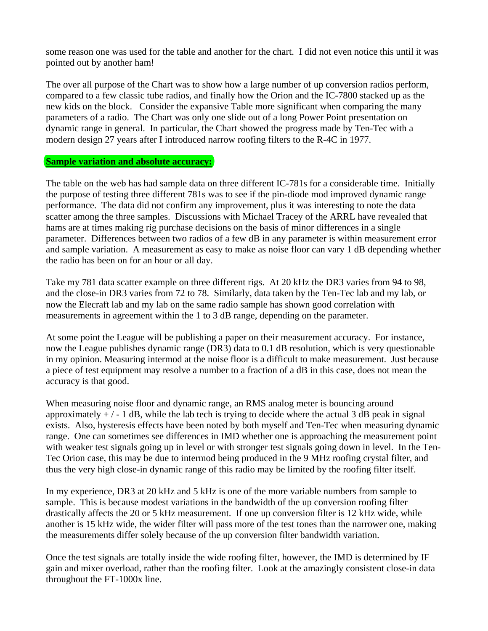some reason one was used for the table and another for the chart. I did not even notice this until it was pointed out by another ham!

The over all purpose of the Chart was to show how a large number of up conversion radios perform, compared to a few classic tube radios, and finally how the Orion and the IC-7800 stacked up as the new kids on the block. Consider the expansive Table more significant when comparing the many parameters of a radio. The Chart was only one slide out of a long Power Point presentation on dynamic range in general. In particular, the Chart showed the progress made by Ten-Tec with a modern design 27 years after I introduced narrow roofing filters to the R-4C in 1977.

## **Sample variation and absolute accuracy:**

 $\overline{a}$ 

The table on the web has had sample data on three different IC-781s for a considerable time. Initially the purpose of testing three different 781s was to see if the pin-diode mod improved dynamic range performance. The data did not confirm any improvement, plus it was interesting to note the data scatter among the three samples. Discussions with Michael Tracey of the ARRL have revealed that hams are at times making rig purchase decisions on the basis of minor differences in a single parameter. Differences between two radios of a few dB in any parameter is within measurement error and sample variation. A measurement as easy to make as noise floor can vary 1 dB depending whether the radio has been on for an hour or all day.

Take my 781 data scatter example on three different rigs. At 20 kHz the DR3 varies from 94 to 98, and the close-in DR3 varies from 72 to 78. Similarly, data taken by the Ten-Tec lab and my lab, or now the Elecraft lab and my lab on the same radio sample has shown good correlation with measurements in agreement within the 1 to 3 dB range, depending on the parameter.

At some point the League will be publishing a paper on their measurement accuracy. For instance, now the League publishes dynamic range (DR3) data to 0.1 dB resolution, which is very questionable in my opinion. Measuring intermod at the noise floor is a difficult to make measurement. Just because a piece of test equipment may resolve a number to a fraction of a dB in this case, does not mean the accuracy is that good.

When measuring noise floor and dynamic range, an RMS analog meter is bouncing around approximately  $+/-1$  dB, while the lab tech is trying to decide where the actual 3 dB peak in signal exists. Also, hysteresis effects have been noted by both myself and Ten-Tec when measuring dynamic range. One can sometimes see differences in IMD whether one is approaching the measurement point with weaker test signals going up in level or with stronger test signals going down in level. In the Ten-Tec Orion case, this may be due to intermod being produced in the 9 MHz roofing crystal filter, and thus the very high close-in dynamic range of this radio may be limited by the roofing filter itself.

In my experience, DR3 at 20 kHz and 5 kHz is one of the more variable numbers from sample to sample. This is because modest variations in the bandwidth of the up conversion roofing filter drastically affects the 20 or 5 kHz measurement. If one up conversion filter is 12 kHz wide, while another is 15 kHz wide, the wider filter will pass more of the test tones than the narrower one, making the measurements differ solely because of the up conversion filter bandwidth variation.

Once the test signals are totally inside the wide roofing filter, however, the IMD is determined by IF gain and mixer overload, rather than the roofing filter. Look at the amazingly consistent close-in data throughout the FT-1000x line.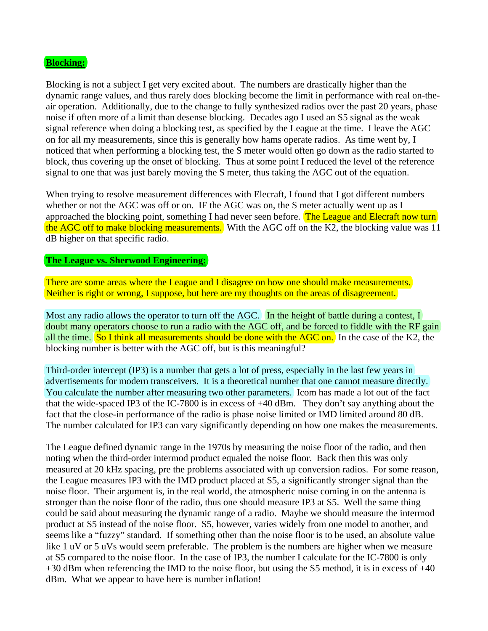## **Blocking:**

Blocking is not a subject I get very excited about. The numbers are drastically higher than the dynamic range values, and thus rarely does blocking become the limit in performance with real on-theair operation. Additionally, due to the change to fully synthesized radios over the past 20 years, phase noise if often more of a limit than desense blocking. Decades ago I used an S5 signal as the weak signal reference when doing a blocking test, as specified by the League at the time. I leave the AGC on for all my measurements, since this is generally how hams operate radios. As time went by, I noticed that when performing a blocking test, the S meter would often go down as the radio started to block, thus covering up the onset of blocking. Thus at some point I reduced the level of the reference signal to one that was just barely moving the S meter, thus taking the AGC out of the equation.

When trying to resolve measurement differences with Elecraft, I found that I got different numbers whether or not the AGC was off or on. IF the AGC was on, the S meter actually went up as I approached the blocking point, something I had never seen before. The League and Elecraft now turn the AGC off to make blocking measurements. With the AGC off on the K2, the blocking value was 11 dB higher on that specific radio.

## **The League vs. Sherwood Engineering:**

There are some areas where the League and I disagree on how one should make measurements. Neither is right or wrong, I suppose, but here are my thoughts on the areas of disagreement.

Most any radio allows the operator to turn off the AGC. In the height of battle during a contest, I doubt many operators choose to run a radio with the AGC off, and be forced to fiddle with the RF gain all the time. So I think all measurements should be done with the AGC on. In the case of the K2, the blocking number is better with the AGC off, but is this meaningful?

Third-order intercept (IP3) is a number that gets a lot of press, especially in the last few years in advertisements for modern transceivers. It is a theoretical number that one cannot measure directly. You calculate the number after measuring two other parameters. Icom has made a lot out of the fact that the wide-spaced IP3 of the IC-7800 is in excess of +40 dBm. They don't say anything about the fact that the close-in performance of the radio is phase noise limited or IMD limited around 80 dB. The number calculated for IP3 can vary significantly depending on how one makes the measurements.

The League defined dynamic range in the 1970s by measuring the noise floor of the radio, and then noting when the third-order intermod product equaled the noise floor. Back then this was only measured at 20 kHz spacing, pre the problems associated with up conversion radios. For some reason, the League measures IP3 with the IMD product placed at S5, a significantly stronger signal than the noise floor. Their argument is, in the real world, the atmospheric noise coming in on the antenna is stronger than the noise floor of the radio, thus one should measure IP3 at S5. Well the same thing could be said about measuring the dynamic range of a radio. Maybe we should measure the intermod product at S5 instead of the noise floor. S5, however, varies widely from one model to another, and seems like a "fuzzy" standard. If something other than the noise floor is to be used, an absolute value like 1 uV or 5 uVs would seem preferable. The problem is the numbers are higher when we measure at S5 compared to the noise floor. In the case of IP3, the number I calculate for the IC-7800 is only +30 dBm when referencing the IMD to the noise floor, but using the S5 method, it is in excess of +40 dBm. What we appear to have here is number inflation!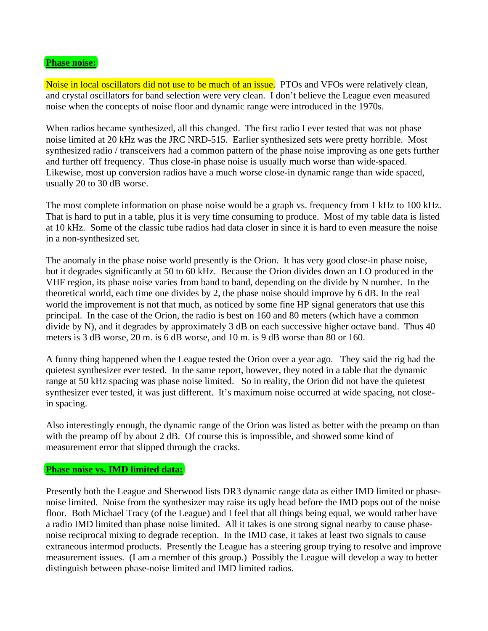## **Phase noise:**

Noise in local oscillators did not use to be much of an issue. PTOs and VFOs were relatively clean, and crystal oscillators for band selection were very clean. I don't believe the League even measured noise when the concepts of noise floor and dynamic range were introduced in the 1970s.

When radios became synthesized, all this changed. The first radio I ever tested that was not phase noise limited at 20 kHz was the JRC NRD-515. Earlier synthesized sets were pretty horrible. Most synthesized radio / transceivers had a common pattern of the phase noise improving as one gets further and further off frequency. Thus close-in phase noise is usually much worse than wide-spaced. Likewise, most up conversion radios have a much worse close-in dynamic range than wide spaced, usually 20 to 30 dB worse.

The most complete information on phase noise would be a graph vs. frequency from 1 kHz to 100 kHz. That is hard to put in a table, plus it is very time consuming to produce. Most of my table data is listed at 10 kHz. Some of the classic tube radios had data closer in since it is hard to even measure the noise in a non-synthesized set.

The anomaly in the phase noise world presently is the Orion. It has very good close-in phase noise, but it degrades significantly at 50 to 60 kHz. Because the Orion divides down an LO produced in the VHF region, its phase noise varies from band to band, depending on the divide by N number. In the theoretical world, each time one divides by 2, the phase noise should improve by 6 dB. In the real world the improvement is not that much, as noticed by some fine HP signal generators that use this principal. In the case of the Orion, the radio is best on 160 and 80 meters (which have a common divide by N), and it degrades by approximately 3 dB on each successive higher octave band. Thus 40 meters is 3 dB worse, 20 m. is 6 dB worse, and 10 m. is 9 dB worse than 80 or 160.

A funny thing happened when the League tested the Orion over a year ago. They said the rig had the quietest synthesizer ever tested. In the same report, however, they noted in a table that the dynamic range at 50 kHz spacing was phase noise limited. So in reality, the Orion did not have the quietest synthesizer ever tested, it was just different. It's maximum noise occurred at wide spacing, not closein spacing.

Also interestingly enough, the dynamic range of the Orion was listed as better with the preamp on than with the preamp off by about 2 dB. Of course this is impossible, and showed some kind of measurement error that slipped through the cracks.

## **Phase noise vs. IMD limited data:**

Presently both the League and Sherwood lists DR3 dynamic range data as either IMD limited or phasenoise limited. Noise from the synthesizer may raise its ugly head before the IMD pops out of the noise floor. Both Michael Tracy (of the League) and I feel that all things being equal, we would rather have a radio IMD limited than phase noise limited. All it takes is one strong signal nearby to cause phasenoise reciprocal mixing to degrade reception. In the IMD case, it takes at least two signals to cause extraneous intermod products. Presently the League has a steering group trying to resolve and improve measurement issues. (I am a member of this group.) Possibly the League will develop a way to better distinguish between phase-noise limited and IMD limited radios.